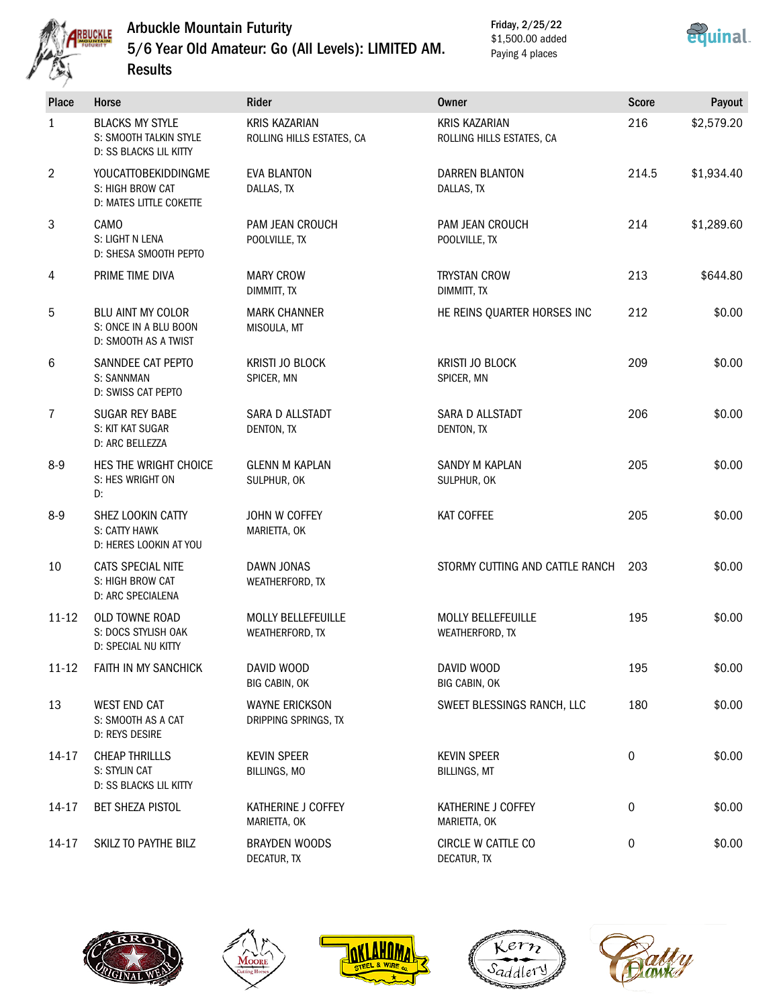

Results

# Arbuckle Mountain Futurity 5/6 Year Old Amateur: Go (All Levels): LIMITED AM.

Friday, 2/25/22 \$1,500.00 added Paying 4 places



| <b>Place</b>   | Horse                                                                      | <b>Rider</b>                                                                          | <b>Owner</b>                                      | <b>Score</b> | Payout     |
|----------------|----------------------------------------------------------------------------|---------------------------------------------------------------------------------------|---------------------------------------------------|--------------|------------|
| $\mathbf{1}$   | <b>BLACKS MY STYLE</b><br>S: SMOOTH TALKIN STYLE<br>D: SS BLACKS LIL KITTY | <b>KRIS KAZARIAN</b><br>ROLLING HILLS ESTATES, CA                                     | <b>KRIS KAZARIAN</b><br>ROLLING HILLS ESTATES, CA | 216          | \$2,579.20 |
| $\overline{2}$ | YOUCATTOBEKIDDINGME<br>S: HIGH BROW CAT<br>D: MATES LITTLE COKETTE         | <b>EVA BLANTON</b><br><b>DARREN BLANTON</b><br>DALLAS, TX<br>DALLAS, TX               |                                                   | 214.5        | \$1,934.40 |
| 3              | CAMO<br>S: LIGHT N LENA<br>D: SHESA SMOOTH PEPTO                           | PAM JEAN CROUCH<br><b>PAM JEAN CROUCH</b><br>POOLVILLE, TX<br>POOLVILLE, TX           |                                                   | 214          | \$1,289.60 |
| 4              | PRIME TIME DIVA                                                            | <b>MARY CROW</b><br>DIMMITT, TX                                                       | <b>TRYSTAN CROW</b><br>DIMMITT, TX                | 213          | \$644.80   |
| 5              | <b>BLU AINT MY COLOR</b><br>S: ONCE IN A BLU BOON<br>D: SMOOTH AS A TWIST  | <b>MARK CHANNER</b><br>MISOULA, MT                                                    | HE REINS QUARTER HORSES INC                       | 212          | \$0.00     |
| 6              | SANNDEE CAT PEPTO<br>S: SANNMAN<br>D: SWISS CAT PEPTO                      | KRISTI JO BLOCK<br>SPICER, MN                                                         | <b>KRISTI JO BLOCK</b><br>SPICER, MN              | 209          | \$0.00     |
| $\overline{7}$ | <b>SUGAR REY BABE</b><br>S: KIT KAT SUGAR<br>D: ARC BELLEZZA               | SARA D ALLSTADT<br>SARA D ALLSTADT<br>DENTON, TX<br>DENTON, TX                        |                                                   | 206          | \$0.00     |
| $8 - 9$        | HES THE WRIGHT CHOICE<br>S: HES WRIGHT ON<br>D:                            | <b>GLENN M KAPLAN</b><br>SANDY M KAPLAN<br>SULPHUR, OK<br>SULPHUR, OK                 |                                                   | 205          | \$0.00     |
| $8 - 9$        | SHEZ LOOKIN CATTY<br>S: CATTY HAWK<br>D: HERES LOOKIN AT YOU               | JOHN W COFFEY<br><b>KAT COFFEE</b><br>MARIETTA, OK                                    |                                                   | 205          | \$0.00     |
| 10             | CATS SPECIAL NITE<br>S: HIGH BROW CAT<br><b>D: ARC SPECIALENA</b>          | DAWN JONAS<br>WEATHERFORD, TX                                                         | STORMY CUTTING AND CATTLE RANCH<br>203            |              | \$0.00     |
| $11 - 12$      | OLD TOWNE ROAD<br>S: DOCS STYLISH OAK<br>D: SPECIAL NU KITTY               | MOLLY BELLEFEUILLE<br><b>MOLLY BELLEFEUILLE</b><br>WEATHERFORD, TX<br>WEATHERFORD, TX |                                                   | 195          | \$0.00     |
| $11 - 12$      | FAITH IN MY SANCHICK                                                       | DAVID WOOD<br>BIG CABIN, OK                                                           | DAVID WOOD<br>BIG CABIN, OK                       | 195          | \$0.00     |
| 13             | <b>WEST END CAT</b><br>S: SMOOTH AS A CAT<br>D: REYS DESIRE                | <b>WAYNE ERICKSON</b><br>SWEET BLESSINGS RANCH, LLC<br>DRIPPING SPRINGS, TX           |                                                   | 180          | \$0.00     |
| 14-17          | <b>CHEAP THRILLLS</b><br>S: STYLIN CAT<br>D: SS BLACKS LIL KITTY           | <b>KEVIN SPEER</b><br>BILLINGS, MO                                                    | <b>KEVIN SPEER</b><br><b>BILLINGS, MT</b>         | 0            | \$0.00     |
| 14-17          | <b>BET SHEZA PISTOL</b>                                                    | KATHERINE J COFFEY<br>MARIETTA, OK                                                    | KATHERINE J COFFEY<br>MARIETTA, OK                | 0            | \$0.00     |
| $14 - 17$      | SKILZ TO PAYTHE BILZ                                                       | <b>BRAYDEN WOODS</b><br>DECATUR, TX                                                   | CIRCLE W CATTLE CO<br>DECATUR, TX                 | 0            | \$0.00     |









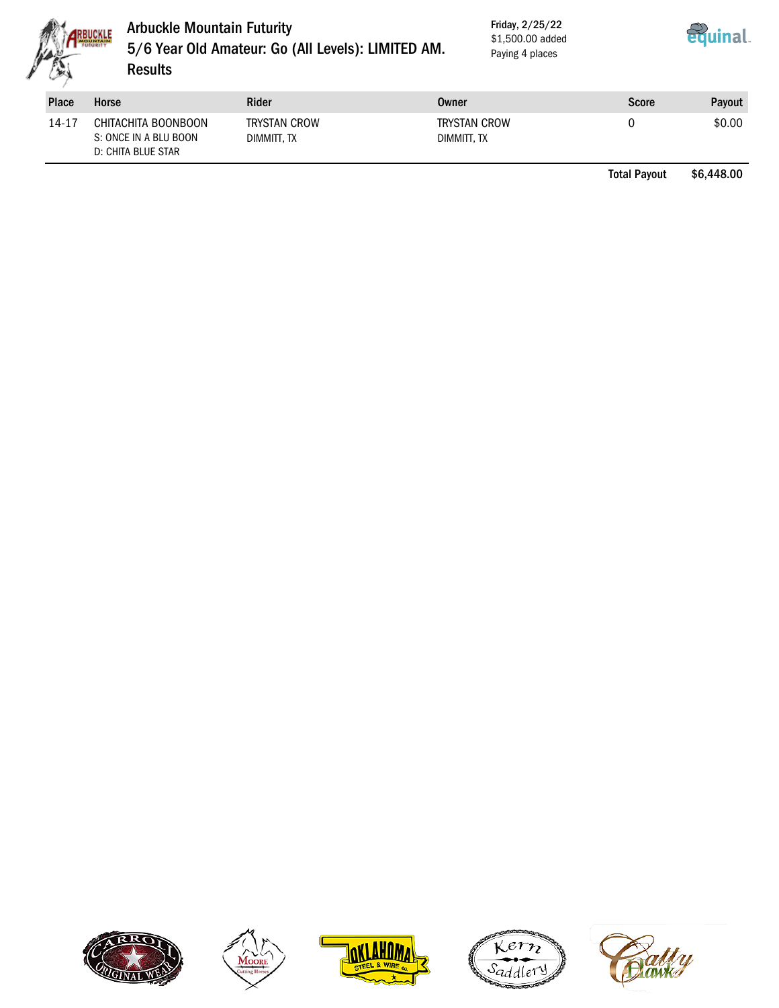

## Arbuckle Mountain Futurity 5/6 Year Old Amateur: Go (All Levels): LIMITED AM. **Results**

Friday, 2/25/22 \$1,500.00 added Paying 4 places



| <b>Place</b> | Horse                                                              | Rider                              | Owner                              | <b>Score</b> | Payout |
|--------------|--------------------------------------------------------------------|------------------------------------|------------------------------------|--------------|--------|
| 14-17        | CHITACHITA BOONBOON<br>S: ONCE IN A BLU BOON<br>D: CHITA BLUE STAR | <b>TRYSTAN CROW</b><br>DIMMITT. TX | <b>TRYSTAN CROW</b><br>DIMMITT, TX |              | \$0.00 |

Total Payout \$6,448.00









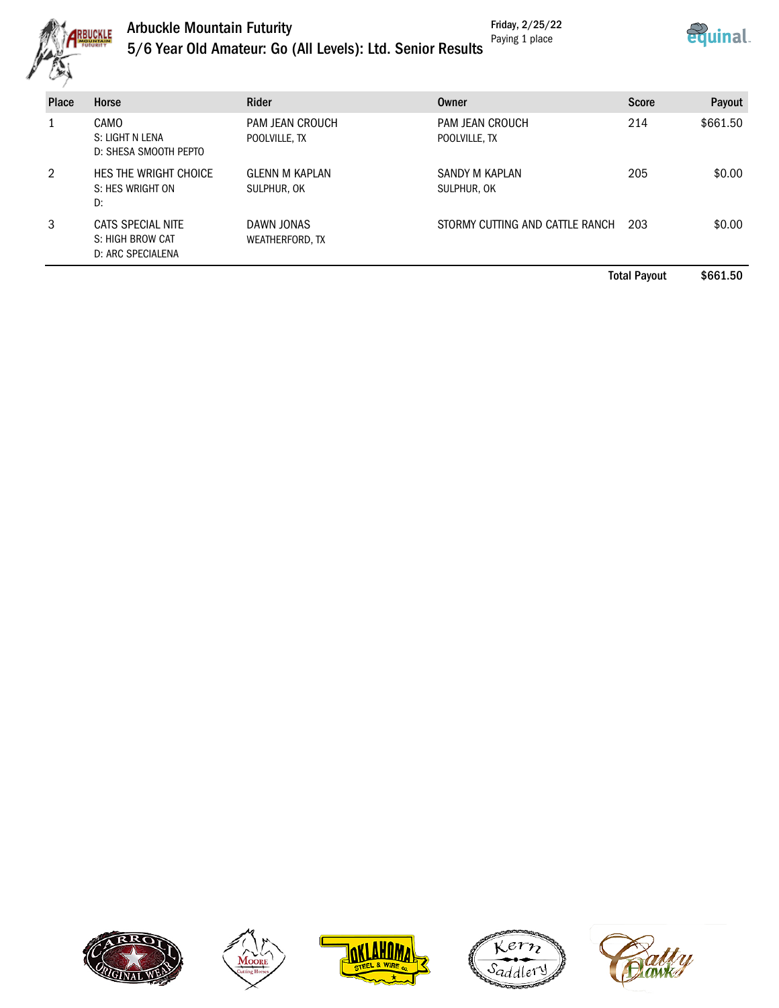

#### Arbuckle Mountain Futurity Friday, 2/25/22 Paying 1 place



|  |  |  |  | 5/6 Year Old Amateur: Go (All Levels): Ltd. Senior Results |  |  |  |  |  |  |  |
|--|--|--|--|------------------------------------------------------------|--|--|--|--|--|--|--|
|--|--|--|--|------------------------------------------------------------|--|--|--|--|--|--|--|

| <b>Place</b> | Horse                                                      | Rider                                | Owner                            | <b>Score</b> | Payout   |
|--------------|------------------------------------------------------------|--------------------------------------|----------------------------------|--------------|----------|
|              | CAMO<br>S: LIGHT N LENA<br>D: SHESA SMOOTH PEPTO           | PAM JEAN CROUCH<br>POOLVILLE, TX     | PAM JEAN CROUCH<br>POOLVILLE, TX | 214          | \$661.50 |
| 2            | HES THE WRIGHT CHOICE<br>S: HES WRIGHT ON<br>D:            | <b>GLENN M KAPLAN</b><br>SULPHUR, OK | SANDY M KAPLAN<br>SULPHUR, OK    | 205          | \$0.00   |
| 3            | CATS SPECIAL NITE<br>S: HIGH BROW CAT<br>D: ARC SPECIALENA | DAWN JONAS<br>WEATHERFORD, TX        | STORMY CUTTING AND CATTLE RANCH  | 203          | \$0.00   |

Total Payout \$661.50









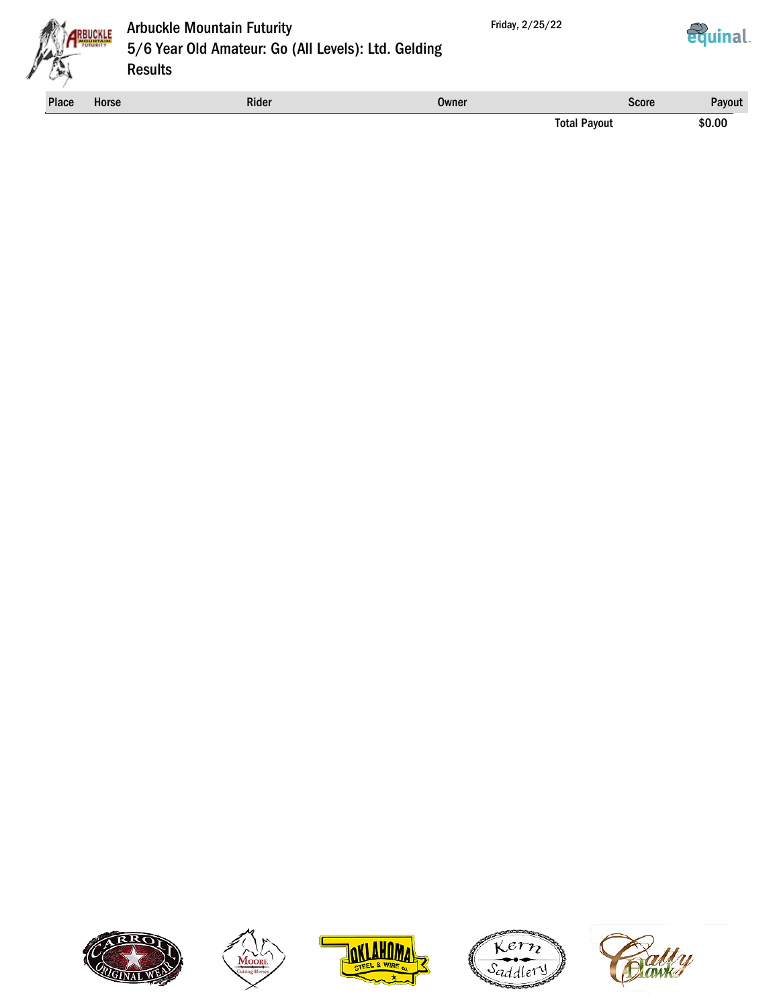





## Arbuckle Mountain Futurity 5/6 Year Old Amateur: Go (All Levels): Ltd. Gelding **Results**

Place Horse **Rider Rider Score Rider Score** Payout Score Rayout Score Rayout Score Rayout